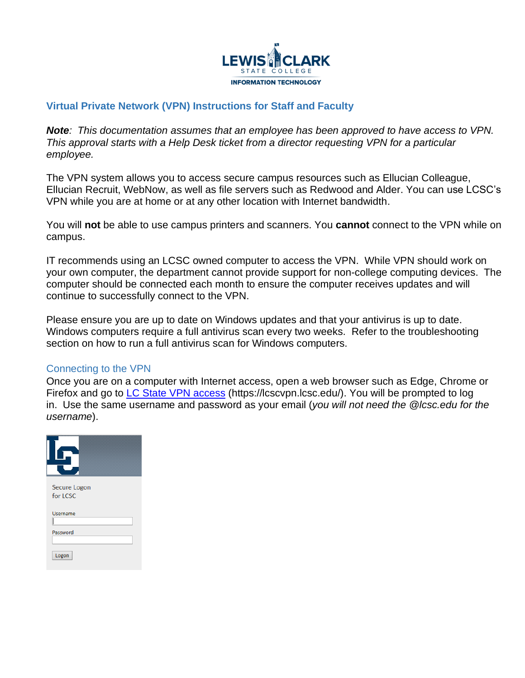

# **Virtual Private Network (VPN) Instructions for Staff and Faculty**

*Note: This documentation assumes that an employee has been approved to have access to VPN. This approval starts with a Help Desk ticket from a director requesting VPN for a particular employee.*

The VPN system allows you to access secure campus resources such as Ellucian Colleague, Ellucian Recruit, WebNow, as well as file servers such as Redwood and Alder. You can use LCSC's VPN while you are at home or at any other location with Internet bandwidth. 

You will **not** be able to use campus printers and scanners. You **cannot** connect to the VPN while on campus.

IT recommends using an LCSC owned computer to access the VPN. While VPN should work on your own computer, the department cannot provide support for non-college computing devices. The computer should be connected each month to ensure the computer receives updates and will continue to successfully connect to the VPN.

Please ensure you are up to date on Windows updates and that your antivirus is up to date. Windows computers require a full antivirus scan every two weeks. Refer to the troubleshooting section on how to run a full antivirus scan for Windows computers.

## Connecting to the VPN

Once you are on a computer with Internet access, open a web browser such as Edge, Chrome or Firefox and go to [LC State VPN access](https://lcscvpn.lcsc.edu/) (https://lcscvpn.lcsc.edu/). You will be prompted to log in. Use the same username and password as your email (*you will not need the @lcsc.edu for the username*).

| Secure Logon<br>for LCSC |  |
|--------------------------|--|
| <b>Username</b>          |  |
| Password                 |  |
| Logon                    |  |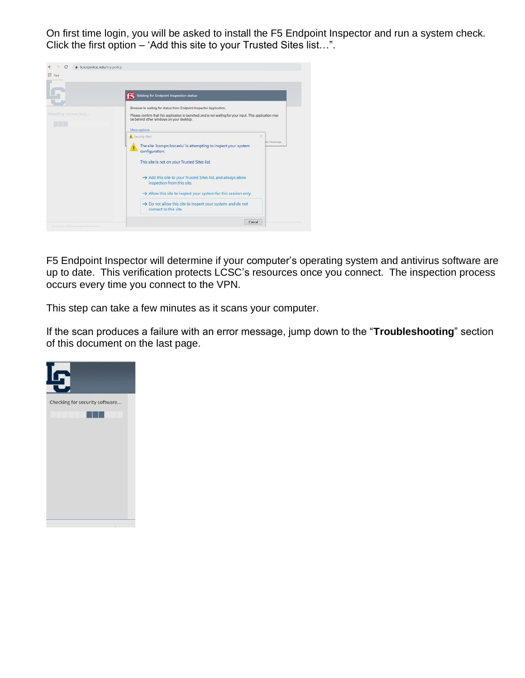On first time login, you will be asked to install the F5 Endpoint Inspector and run a system check. Click the first option – 'Add this site to your Trusted Sites list…".



F5 Endpoint Inspector will determine if your computer's operating system and antivirus software are up to date. This verification protects LCSC's resources once you connect. The inspection process occurs every time you connect to the VPN.

This step can take a few minutes as it scans your computer.

If the scan produces a failure with an error message, jump down to the "**Troubleshooting**" section of this document on the last page.

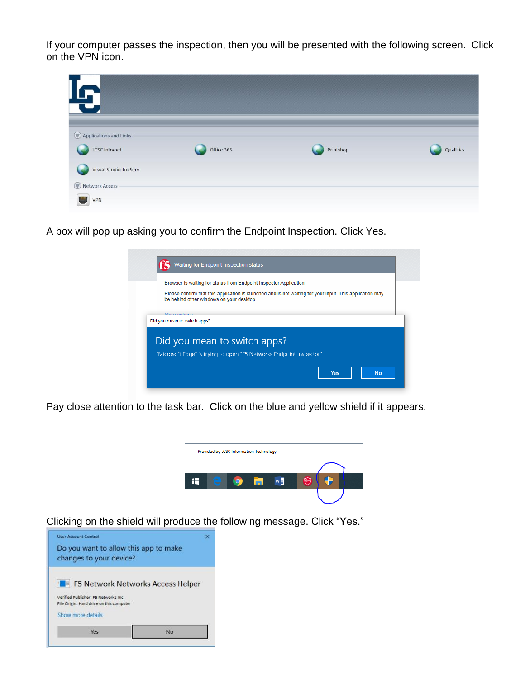If your computer passes the inspection, then you will be presented with the following screen. Click on the VPN icon.

| 19                                      |            |           |           |
|-----------------------------------------|------------|-----------|-----------|
| Applications and Links<br>LCSC Intranet | Office 365 | Printshop | Qualtrics |
| Visual Studio Tm Serv<br>Network Access |            |           |           |
| <b>VPN</b>                              |            |           |           |

A box will pop up asking you to confirm the Endpoint Inspection. Click Yes.

| Browser is waiting for status from Endpoint Inspector Application.                                                                                   |
|------------------------------------------------------------------------------------------------------------------------------------------------------|
| Please confirm that this application is launched and is not waiting for your input. This application may<br>be behind other windows on your desktop. |
| More options                                                                                                                                         |
| Did you mean to switch apps?                                                                                                                         |
|                                                                                                                                                      |
|                                                                                                                                                      |
| Did you mean to switch apps?                                                                                                                         |
| "Microsoft Edge" is trying to open "F5 Networks Endpoint Inspector".                                                                                 |

Pay close attention to the task bar. Click on the blue and yellow shield if it appears.



Clicking on the shield will produce the following message. Click "Yes."

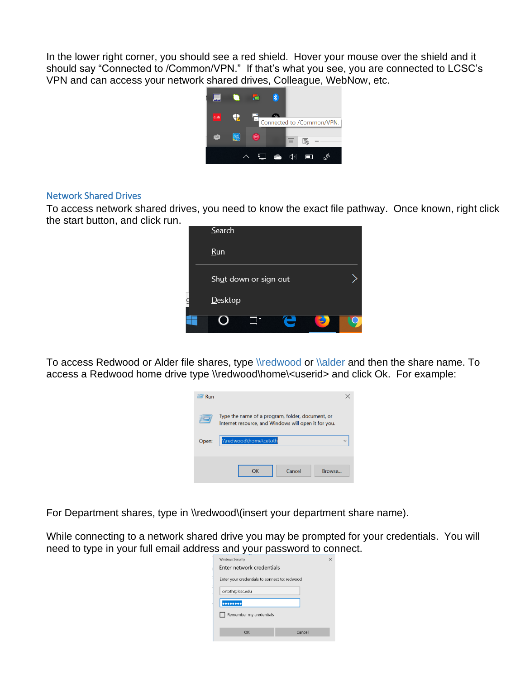In the lower right corner, you should see a red shield. Hover your mouse over the shield and it should say "Connected to /Common/VPN." If that's what you see, you are connected to LCSC's VPN and can access your network shared drives, Colleague, WebNow, etc.



#### Network Shared Drives

To access network shared drives, you need to know the exact file pathway. Once known, right click the start button, and click run.

| Search                |  |
|-----------------------|--|
| <b>Run</b>            |  |
| Shut down or sign out |  |
| <b>Desktop</b>        |  |
|                       |  |

To access Redwood or Alder file shares, type \\redwood or \\alder and then the share name. To access a Redwood home drive type \\redwood\home\<userid> and click Ok. For example:

| Run   |                                                                                                          |              |
|-------|----------------------------------------------------------------------------------------------------------|--------------|
|       | Type the name of a program, folder, document, or<br>Internet resource, and Windows will open it for you. |              |
| Open: | \\redwood\home\cetoth                                                                                    | $\checkmark$ |
|       | Cancel<br>Browse<br>אר                                                                                   |              |

For Department shares, type in \\redwood\(insert your department share name).

While connecting to a network shared drive you may be prompted for your credentials. You will need to type in your full email address and your password to connect.

| <b>Windows Security</b><br>×                  |        |  |
|-----------------------------------------------|--------|--|
| Enter network credentials                     |        |  |
| Enter your credentials to connect to: redwood |        |  |
| cetoth@lcsc.edu                               |        |  |
|                                               |        |  |
| Remember my credentials                       |        |  |
|                                               |        |  |
| OK                                            | Cancel |  |
|                                               |        |  |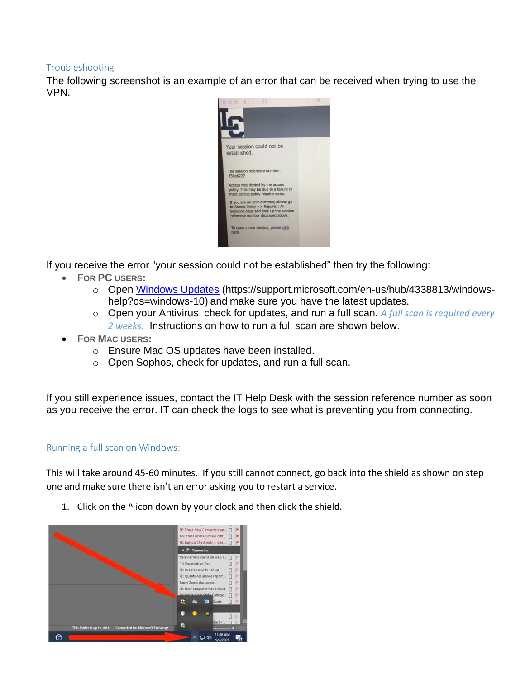### Troubleshooting

The following screenshot is an example of an error that can be received when trying to use the VPN.



If you receive the error "your session could not be established" then try the following:

- **FOR PC USERS:**
	- o Open [Windows Updates](https://support.microsoft.com/en-us/hub/4338813/windows-help?os=windows-10) (https://support.microsoft.com/en-us/hub/4338813/windowshelp?os=windows-10) and make sure you have the latest updates.
	- o Open your Antivirus, check for updates, and run a full scan. *A full scan is required every 2 weeks.* Instructions on how to run a full scan are shown below.
- **FOR MAC USERS:**
	- o Ensure Mac OS updates have been installed.
	- o Open Sophos, check for updates, and run a full scan.

If you still experience issues, contact the IT Help Desk with the session reference number as soon as you receive the error. IT can check the logs to see what is preventing you from connecting.

### Running a full scan on Windows:

This will take around 45-60 minutes. If you still cannot connect, go back into the shield as shown on step one and make sure there isn't an error asking you to restart a service.



1. Click on the ^ icon down by your clock and then click the shield.